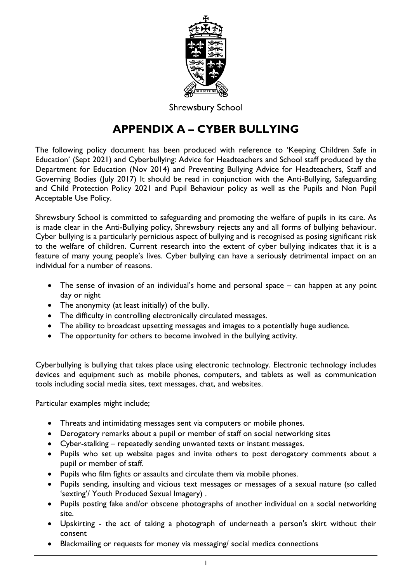

**Shrewsbury School** 

# **APPENDIX A – CYBER BULLYING**

The following policy document has been produced with reference to 'Keeping Children Safe in Education' (Sept 2021) and Cyberbullying: Advice for Headteachers and School staff produced by the Department for Education (Nov 2014) and Preventing Bullying Advice for Headteachers, Staff and Governing Bodies (July 2017) It should be read in conjunction with the Anti-Bullying, Safeguarding and Child Protection Policy 2021 and Pupil Behaviour policy as well as the Pupils and Non Pupil Acceptable Use Policy.

Shrewsbury School is committed to safeguarding and promoting the welfare of pupils in its care. As is made clear in the Anti-Bullying policy, Shrewsbury rejects any and all forms of bullying behaviour. Cyber bullying is a particularly pernicious aspect of bullying and is recognised as posing significant risk to the welfare of children. Current research into the extent of cyber bullying indicates that it is a feature of many young people's lives. Cyber bullying can have a seriously detrimental impact on an individual for a number of reasons.

- The sense of invasion of an individual's home and personal space can happen at any point day or night
- The anonymity (at least initially) of the bully.
- The difficulty in controlling electronically circulated messages.
- The ability to broadcast upsetting messages and images to a potentially huge audience.
- The opportunity for others to become involved in the bullying activity.

Cyberbullying is bullying that takes place using electronic technology. Electronic technology includes devices and equipment such as mobile phones, computers, and tablets as well as communication tools including social media sites, text messages, chat, and websites.

Particular examples might include;

- Threats and intimidating messages sent via computers or mobile phones.
- Derogatory remarks about a pupil or member of staff on social networking sites
- Cyber-stalking repeatedly sending unwanted texts or instant messages.
- Pupils who set up website pages and invite others to post derogatory comments about a pupil or member of staff.
- Pupils who film fights or assaults and circulate them via mobile phones.
- Pupils sending, insulting and vicious text messages or messages of a sexual nature (so called 'sexting'/ Youth Produced Sexual Imagery) .
- Pupils posting fake and/or obscene photographs of another individual on a social networking site.
- Upskirting the act of taking a photograph of underneath a person's skirt without their consent
- Blackmailing or requests for money via messaging/ social medica connections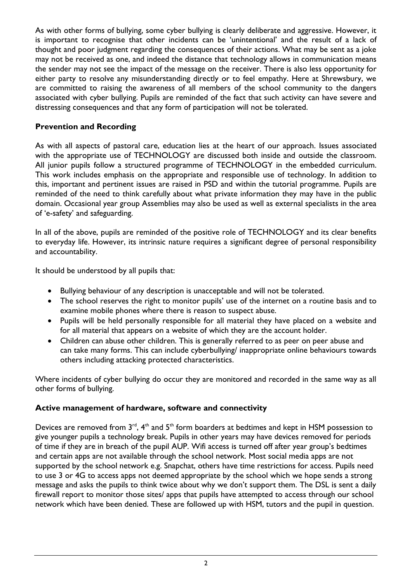As with other forms of bullying, some cyber bullying is clearly deliberate and aggressive. However, it is important to recognise that other incidents can be 'unintentional' and the result of a lack of thought and poor judgment regarding the consequences of their actions. What may be sent as a joke may not be received as one, and indeed the distance that technology allows in communication means the sender may not see the impact of the message on the receiver. There is also less opportunity for either party to resolve any misunderstanding directly or to feel empathy. Here at Shrewsbury, we are committed to raising the awareness of all members of the school community to the dangers associated with cyber bullying. Pupils are reminded of the fact that such activity can have severe and distressing consequences and that any form of participation will not be tolerated.

# **Prevention and Recording**

As with all aspects of pastoral care, education lies at the heart of our approach. Issues associated with the appropriate use of TECHNOLOGY are discussed both inside and outside the classroom. All junior pupils follow a structured programme of TECHNOLOGY in the embedded curriculum. This work includes emphasis on the appropriate and responsible use of technology. In addition to this, important and pertinent issues are raised in PSD and within the tutorial programme. Pupils are reminded of the need to think carefully about what private information they may have in the public domain. Occasional year group Assemblies may also be used as well as external specialists in the area of 'e-safety' and safeguarding.

In all of the above, pupils are reminded of the positive role of TECHNOLOGY and its clear benefits to everyday life. However, its intrinsic nature requires a significant degree of personal responsibility and accountability.

It should be understood by all pupils that:

- Bullying behaviour of any description is unacceptable and will not be tolerated.
- The school reserves the right to monitor pupils' use of the internet on a routine basis and to examine mobile phones where there is reason to suspect abuse.
- Pupils will be held personally responsible for all material they have placed on a website and for all material that appears on a website of which they are the account holder.
- Children can abuse other children. This is generally referred to as peer on peer abuse and can take many forms. This can include cyberbullying/ inappropriate online behaviours towards others including attacking protected characteristics.

Where incidents of cyber bullying do occur they are monitored and recorded in the same way as all other forms of bullying.

# **Active management of hardware, software and connectivity**

Devices are removed from  $3<sup>rd</sup>$ ,  $4<sup>th</sup>$  and  $5<sup>th</sup>$  form boarders at bedtimes and kept in HSM possession to give younger pupils a technology break. Pupils in other years may have devices removed for periods of time if they are in breach of the pupil AUP. Wifi access is turned off after year group's bedtimes and certain apps are not available through the school network. Most social media apps are not supported by the school network e.g. Snapchat, others have time restrictions for access. Pupils need to use 3 or 4G to access apps not deemed appropriate by the school which we hope sends a strong message and asks the pupils to think twice about why we don't support them. The DSL is sent a daily firewall report to monitor those sites/ apps that pupils have attempted to access through our school network which have been denied. These are followed up with HSM, tutors and the pupil in question.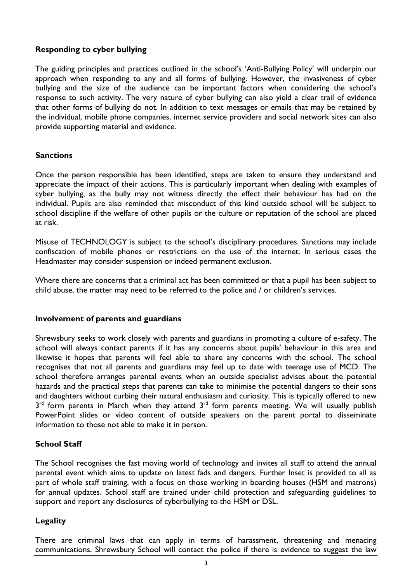## **Responding to cyber bullying**

The guiding principles and practices outlined in the school's 'Anti-Bullying Policy' will underpin our approach when responding to any and all forms of bullying. However, the invasiveness of cyber bullying and the size of the audience can be important factors when considering the school's response to such activity. The very nature of cyber bullying can also yield a clear trail of evidence that other forms of bullying do not. In addition to text messages or emails that may be retained by the individual, mobile phone companies, internet service providers and social network sites can also provide supporting material and evidence.

#### **Sanctions**

Once the person responsible has been identified, steps are taken to ensure they understand and appreciate the impact of their actions. This is particularly important when dealing with examples of cyber bullying, as the bully may not witness directly the effect their behaviour has had on the individual. Pupils are also reminded that misconduct of this kind outside school will be subject to school discipline if the welfare of other pupils or the culture or reputation of the school are placed at risk.

Misuse of TECHNOLOGY is subject to the school's disciplinary procedures. Sanctions may include confiscation of mobile phones or restrictions on the use of the internet. In serious cases the Headmaster may consider suspension or indeed permanent exclusion.

Where there are concerns that a criminal act has been committed or that a pupil has been subject to child abuse, the matter may need to be referred to the police and / or children's services.

#### **Involvement of parents and guardians**

Shrewsbury seeks to work closely with parents and guardians in promoting a culture of e-safety. The school will always contact parents if it has any concerns about pupils' behaviour in this area and likewise it hopes that parents will feel able to share any concerns with the school. The school recognises that not all parents and guardians may feel up to date with teenage use of MCD. The school therefore arranges parental events when an outside specialist advises about the potential hazards and the practical steps that parents can take to minimise the potential dangers to their sons and daughters without curbing their natural enthusiasm and curiosity. This is typically offered to new  $3<sup>rd</sup>$  form parents in March when they attend  $3<sup>rd</sup>$  form parents meeting. We will usually publish PowerPoint slides or video content of outside speakers on the parent portal to disseminate information to those not able to make it in person.

## **School Staff**

The School recognises the fast moving world of technology and invites all staff to attend the annual parental event which aims to update on latest fads and dangers. Further Inset is provided to all as part of whole staff training, with a focus on those working in boarding houses (HSM and matrons) for annual updates. School staff are trained under child protection and safeguarding guidelines to support and report any disclosures of cyberbullying to the HSM or DSL.

## **Legality**

There are criminal laws that can apply in terms of harassment, threatening and menacing communications. Shrewsbury School will contact the police if there is evidence to suggest the law